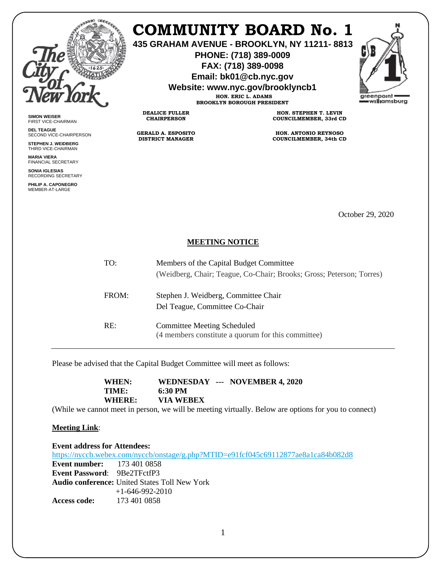

**SIMON WEISER** FIRST VICE-CHAIRMAN **DEL TEAGUE**

SECOND VICE-CHAIRPERSON **STEPHEN J. WEIDBERG** THIRD VICE-CHAIRMAN **MARIA VIERA** FINANCIAL SECRETARY **SONIA IGLESIAS** RECORDING SECRETARY **PHILIP A. CAPONEGRO** MEMBER-AT-LARGE

## **COMMUNITY BOARD No. 1**

**435 GRAHAM AVENUE - BROOKLYN, NY 11211- 8813**

**PHONE: (718) 389-0009 FAX: (718) 389-0098**

**Email: bk01@cb.nyc.gov**

**Website: www.nyc.gov/brooklyncb1**

**HON. ERIC L. ADAMS BROOKLYN BOROUGH PRESIDENT**

**DEALICE FULLER CHAIRPERSON**

**GERALD A. ESPOSITO DISTRICT MANAGER**

**HON. STEPHEN T. LEVIN COUNCILMEMBER, 33rd CD**

**HON. ANTONIO REYNOSO COUNCILMEMBER, 34th CD**

October 29, 2020

## **MEETING NOTICE**

| TO:   | Members of the Capital Budget Committee<br>(Weidberg, Chair; Teague, Co-Chair; Brooks; Gross; Peterson; Torres) |
|-------|-----------------------------------------------------------------------------------------------------------------|
| FROM: | Stephen J. Weidberg, Committee Chair<br>Del Teague, Committee Co-Chair                                          |
| RE:   | <b>Committee Meeting Scheduled</b><br>(4 members constitute a quorum for this committee)                        |

Please be advised that the Capital Budget Committee will meet as follows:

**WHEN: WEDNESDAY --- NOVEMBER 4, 2020 TIME: 6:30 PM WHERE: VIA WEBEX**

(While we cannot meet in person, we will be meeting virtually. Below are options for you to connect)

## **Meeting Link**:

**Event address for Attendees:** <https://nyccb.webex.com/nyccb/onstage/g.php?MTID=e91fcf045c69112877ae8a1ca84b082d8> **Event number:** 173 401 0858 **Event Password**: 9Be2TFctfP3 **Audio conference:** United States Toll New York +1-646-992-2010 **Access code:** 173 401 0858